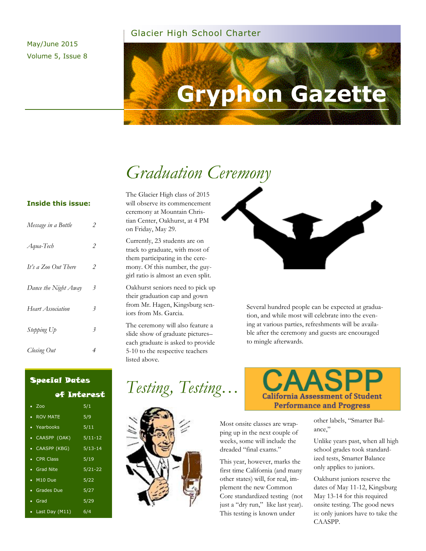#### Glacier High School Charter

May/June 2015 Volume 5, Issue 8

# **Gryphon Gazette**

# *Graduation Ceremony*

#### **Inside this issue:**

| Message in a Bottle  | 2              |
|----------------------|----------------|
| Aqua-Tech            | 2              |
| It's a Zoo Out There | $\overline{2}$ |
| Dance the Night Away | 3              |
| Heart Association    | 3              |
| Stepping Up          | 3              |
| Closing Out          | 4              |

The Glacier High class of 2015 will observe its commencement ceremony at Mountain Christian Center, Oakhurst, at 4 PM on Friday, May 29.

Currently, 23 students are on track to graduate, with most of them participating in the ceremony. Of this number, the guygirl ratio is almost an even split.

Oakhurst seniors need to pick up their graduation cap and gown from Mr. Hagen, Kingsburg seniors from Ms. Garcia.

The ceremony will also feature a slide show of graduate pictures– each graduate is asked to provide 5-10 to the respective teachers listed above.



Several hundred people can be expected at graduation, and while most will celebrate into the evening at various parties, refreshments will be available after the ceremony and guests are encouraged to mingle afterwards.

## Special Dates

of Interest

| $\bullet$ Zoo      | 5/1                  |
|--------------------|----------------------|
| • ROV MATE         | 5/9                  |
| • Yearbooks        | 5/11                 |
| • CAASPP (OAK)     | $5/11 - 12$          |
| • CAASPP (KBG)     | $\frac{1}{5}$ /13-14 |
| • CPR Class        | 5/19                 |
| • Grad Nite        | $5/21 - 22$          |
| $\bullet$ M10 Due  | 5/22                 |
| • Grades Due       | 5/27                 |
| • Grad             | 5/29                 |
| • Last Day $(M11)$ | 6/4                  |







Most onsite classes are wrapping up in the next couple of weeks, some will include the dreaded "final exams."

This year, however, marks the first time California (and many other states) will, for real, implement the new Common Core standardized testing (not just a "dry run," like last year). This testing is known under

other labels, "Smarter Balance,"

Unlike years past, when all high school grades took standardized tests, Smarter Balance only applies to juniors.

Oakhurst juniors reserve the dates of May 11-12, Kingsburg May 13-14 for this required onsite testing. The good news is: only juniors have to take the CAASPP.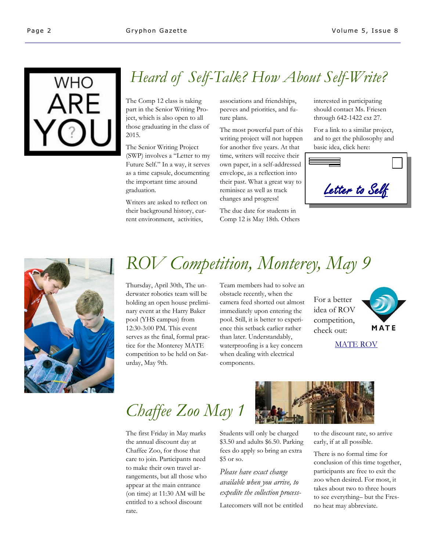

# *Heard of Self-Talk? How About Self-Write?*

The Comp 12 class is taking part in the Senior Writing Project, which is also open to all those graduating in the class of 2015.

The Senior Writing Project (SWP) involves a "Letter to my Future Self." In a way, it serves as a time capsule, documenting the important time around graduation.

Writers are asked to reflect on their background history, current environment, activities,

associations and friendships, peeves and priorities, and future plans.

The most powerful part of this writing project will not happen for another five years. At that time, writers will receive their own paper, in a self-addressed envelope, as a reflection into their past. What a great way to reminisce as well as track changes and progress!

The due date for students in Comp 12 is May 18th. Others interested in participating should contact Ms. Friesen through 642-1422 ext 27.

For a link to a similar project, and to get the philosophy and basic idea, click here:





# *ROV Competition, Monterey, May 9*

Thursday, April 30th, The underwater robotics team will be holding an open house preliminary event at the Harry Baker pool (YHS campus) from 12:30-3:00 PM. This event serves as the final, formal practice for the Monterey MATE competition to be held on Saturday, May 9th.

Team members had to solve an obstacle recently, when the camera feed shorted out almost immediately upon entering the pool. Still, it is better to experience this setback earlier rather than later. Understandably, waterproofing is a key concern when dealing with electrical components.

For a better idea of ROV competition, check out:



#### [MATE ROV](https://www.facebook.com/materovcompetition)

*Chaffee Zoo May 1* 

The first Friday in May marks the annual discount day at Chaffee Zoo, for those that care to join. Participants need to make their own travel arrangements, but all those who appear at the main entrance (on time) at 11:30 AM will be entitled to a school discount rate.



Students will only be charged \$3.50 and adults \$6.50. Parking fees do apply so bring an extra \$5 or so.

*Please have exact change available when you arrive, to expedite the collection process-*

Latecomers will not be entitled

to the discount rate, so arrive early, if at all possible.

There is no formal time for conclusion of this time together, participants are free to exit the zoo when desired. For most, it takes about two to three hours to see everything– but the Fresno heat may abbreviate.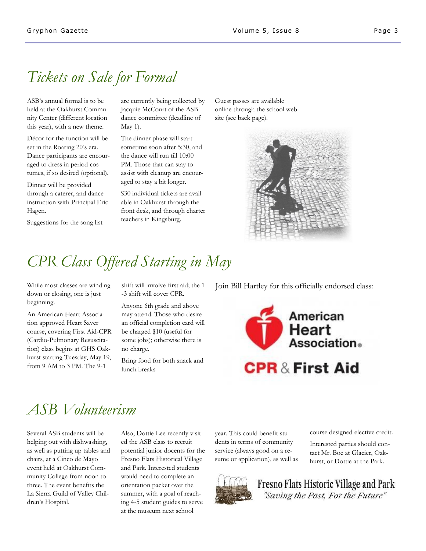## *Tickets on Sale for Formal*

ASB's annual formal is to be held at the Oakhurst Community Center (different location this year), with a new theme.

Décor for the function will be set in the Roaring 20's era. Dance participants are encouraged to dress in period costumes, if so desired (optional).

Dinner will be provided through a caterer, and dance instruction with Principal Eric Hagen.

Suggestions for the song list

are currently being collected by Jacquie McCourt of the ASB dance committee (deadline of May 1).

The dinner phase will start sometime soon after 5:30, and the dance will run till 10:00 PM. Those that can stay to assist with cleanup are encouraged to stay a bit longer.

\$30 individual tickets are available in Oakhurst through the front desk, and through charter teachers in Kingsburg.

Guest passes are available online through the school website (see back page).



## *CPR Class Offered Starting in May*

down or closing, one is just beginning.

An American Heart Association approved Heart Saver course, covering First Aid-CPR (Cardio-Pulmonary Resuscitation) class begins at GHS Oakhurst starting Tuesday, May 19, from 9 AM to 3 PM. The 9-1

shift will involve first aid; the 1 -3 shift will cover CPR.

Anyone 6th grade and above may attend. Those who desire an official completion card will be charged \$10 (useful for some jobs); otherwise there is no charge.

Bring food for both snack and lunch breaks

While most classes are winding shift will involve first aid; the 1 Join Bill Hartley for this officially endorsed class:



# *ASB Volunteerism*

Several ASB students will be helping out with dishwashing, as well as putting up tables and chairs, at a Cinco de Mayo event held at Oakhurst Community College from noon to three. The event benefits the La Sierra Guild of Valley Children's Hospital.

Also, Dottie Lee recently visited the ASB class to recruit potential junior docents for the Fresno Flats Historical Village and Park. Interested students would need to complete an orientation packet over the summer, with a goal of reaching 4-5 student guides to serve at the museum next school

year. This could benefit students in terms of community service (always good on a resume or application), as well as course designed elective credit.

Interested parties should contact Mr. Boe at Glacier, Oakhurst, or Dottie at the Park.



Fresno Flats Historic Village and Park "Saving the Past, For the Future"